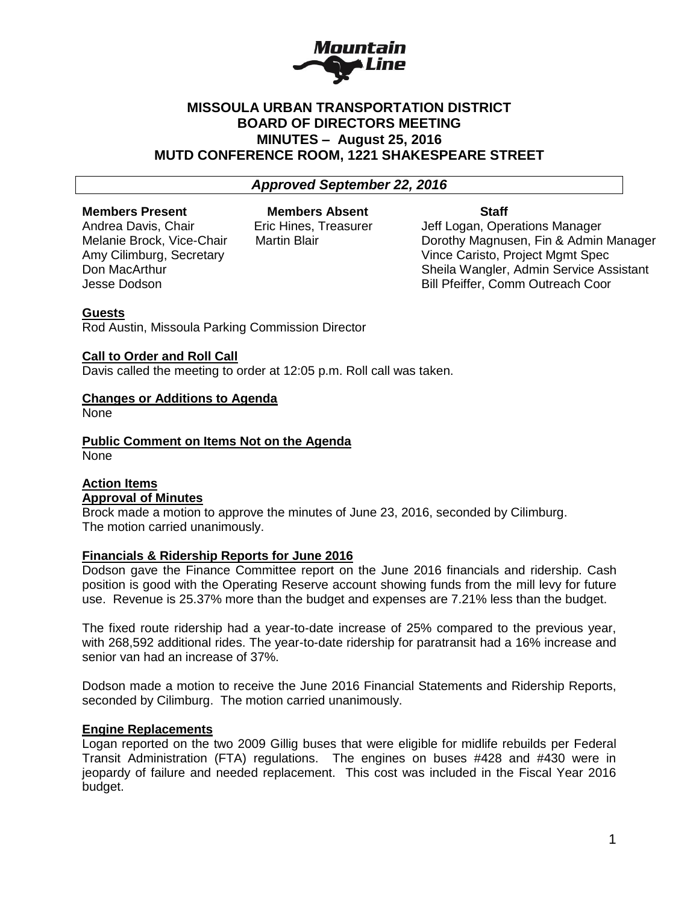

# **MISSOULA URBAN TRANSPORTATION DISTRICT BOARD OF DIRECTORS MEETING MINUTES – August 25, 2016 MUTD CONFERENCE ROOM, 1221 SHAKESPEARE STREET**

### *Approved September 22, 2016*

# **Members Present Members Absent Staff**

Andrea Davis, Chair **Eric Hines, Treasurer** Jeff Logan, Operations Manager Melanie Brock, Vice-Chair Martin Blair Dorothy Magnusen, Fin & Admin Manager Amy Cilimburg, Secretary Vince Caristo, Project Mgmt Spec Don MacArthur **National Sheila Wangler, Admin Service Assistant** Jesse Dodson Bill Pfeiffer, Comm Outreach Coor

#### **Guests**

Rod Austin, Missoula Parking Commission Director

#### **Call to Order and Roll Call**

Davis called the meeting to order at 12:05 p.m. Roll call was taken.

# **Changes or Additions to Agenda**

None

**Public Comment on Items Not on the Agenda** None

#### **Action Items Approval of Minutes**

Brock made a motion to approve the minutes of June 23, 2016, seconded by Cilimburg. The motion carried unanimously.

#### **Financials & Ridership Reports for June 2016**

Dodson gave the Finance Committee report on the June 2016 financials and ridership. Cash position is good with the Operating Reserve account showing funds from the mill levy for future use. Revenue is 25.37% more than the budget and expenses are 7.21% less than the budget.

The fixed route ridership had a year-to-date increase of 25% compared to the previous year, with 268,592 additional rides. The year-to-date ridership for paratransit had a 16% increase and senior van had an increase of 37%.

Dodson made a motion to receive the June 2016 Financial Statements and Ridership Reports, seconded by Cilimburg. The motion carried unanimously.

#### **Engine Replacements**

Logan reported on the two 2009 Gillig buses that were eligible for midlife rebuilds per Federal Transit Administration (FTA) regulations. The engines on buses #428 and #430 were in jeopardy of failure and needed replacement. This cost was included in the Fiscal Year 2016 budget.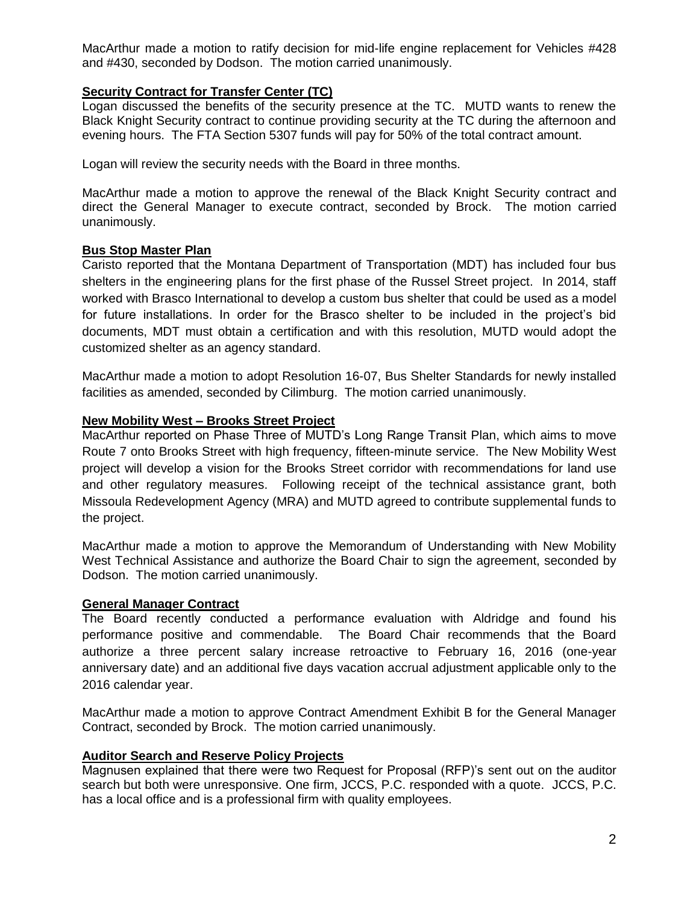MacArthur made a motion to ratify decision for mid-life engine replacement for Vehicles #428 and #430, seconded by Dodson. The motion carried unanimously.

# **Security Contract for Transfer Center (TC)**

Logan discussed the benefits of the security presence at the TC. MUTD wants to renew the Black Knight Security contract to continue providing security at the TC during the afternoon and evening hours. The FTA Section 5307 funds will pay for 50% of the total contract amount.

Logan will review the security needs with the Board in three months.

MacArthur made a motion to approve the renewal of the Black Knight Security contract and direct the General Manager to execute contract, seconded by Brock. The motion carried unanimously.

# **Bus Stop Master Plan**

Caristo reported that the Montana Department of Transportation (MDT) has included four bus shelters in the engineering plans for the first phase of the Russel Street project. In 2014, staff worked with Brasco International to develop a custom bus shelter that could be used as a model for future installations. In order for the Brasco shelter to be included in the project's bid documents, MDT must obtain a certification and with this resolution, MUTD would adopt the customized shelter as an agency standard.

MacArthur made a motion to adopt Resolution 16-07, Bus Shelter Standards for newly installed facilities as amended, seconded by Cilimburg. The motion carried unanimously.

## **New Mobility West – Brooks Street Project**

MacArthur reported on Phase Three of MUTD's Long Range Transit Plan, which aims to move Route 7 onto Brooks Street with high frequency, fifteen-minute service. The New Mobility West project will develop a vision for the Brooks Street corridor with recommendations for land use and other regulatory measures. Following receipt of the technical assistance grant, both Missoula Redevelopment Agency (MRA) and MUTD agreed to contribute supplemental funds to the project.

MacArthur made a motion to approve the Memorandum of Understanding with New Mobility West Technical Assistance and authorize the Board Chair to sign the agreement, seconded by Dodson. The motion carried unanimously.

#### **General Manager Contract**

The Board recently conducted a performance evaluation with Aldridge and found his performance positive and commendable. The Board Chair recommends that the Board authorize a three percent salary increase retroactive to February 16, 2016 (one-year anniversary date) and an additional five days vacation accrual adjustment applicable only to the 2016 calendar year.

MacArthur made a motion to approve Contract Amendment Exhibit B for the General Manager Contract, seconded by Brock. The motion carried unanimously.

# **Auditor Search and Reserve Policy Projects**

Magnusen explained that there were two Request for Proposal (RFP)'s sent out on the auditor search but both were unresponsive. One firm, JCCS, P.C. responded with a quote. JCCS, P.C. has a local office and is a professional firm with quality employees.